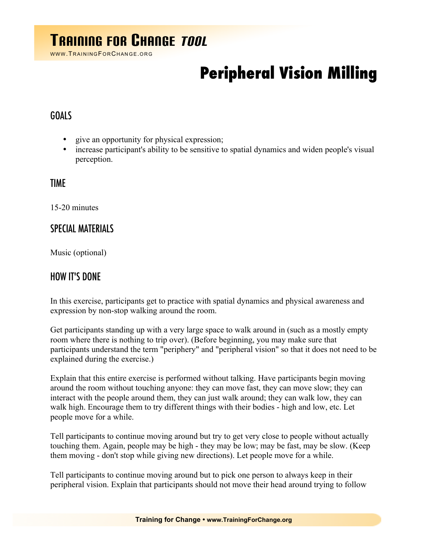# TRAINING FOR CHANGE TOOL

WWW. TRAINING FOR CHANGE. ORG

# **Peripheral Vision Milling**

### GOALS

- give an opportunity for physical expression;
- increase participant's ability to be sensitive to spatial dynamics and widen people's visual perception.

#### TIME

15-20 minutes

## SPECIAL MATERIALS

Music (optional)

#### HOW IT'S DONE

In this exercise, participants get to practice with spatial dynamics and physical awareness and expression by non-stop walking around the room.

Get participants standing up with a very large space to walk around in (such as a mostly empty room where there is nothing to trip over). (Before beginning, you may make sure that participants understand the term "periphery" and "peripheral vision" so that it does not need to be explained during the exercise.)

Explain that this entire exercise is performed without talking. Have participants begin moving around the room without touching anyone: they can move fast, they can move slow; they can interact with the people around them, they can just walk around; they can walk low, they can walk high. Encourage them to try different things with their bodies - high and low, etc. Let people move for a while.

Tell participants to continue moving around but try to get very close to people without actually touching them. Again, people may be high - they may be low; may be fast, may be slow. (Keep them moving - don't stop while giving new directions). Let people move for a while.

Tell participants to continue moving around but to pick one person to always keep in their peripheral vision. Explain that participants should not move their head around trying to follow